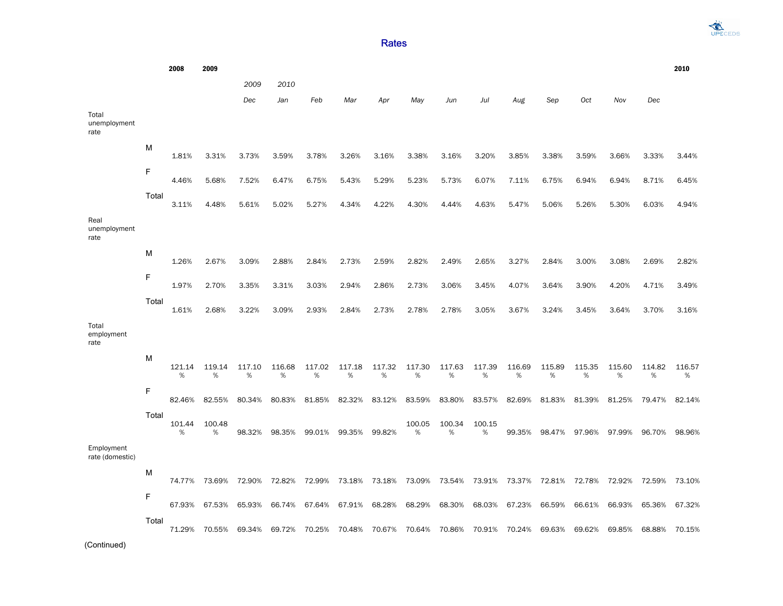**DECEDS** 

## Rates

2008 2009 2010 *2009 2010 Dec Jan Feb Mar Apr May Jun Jul Aug Sep Oct Nov Dec* Total unemployment rate M 1.81% 3.31% 3.73% 3.59% 3.78% 3.26% 3.16% 3.38% 3.16% 3.20% 3.85% 3.38% 3.59% 3.66% 3.33% 3.44% F 4.46% 5.68% 7.52% 6.47% 6.75% 5.43% 5.29% 5.23% 5.73% 6.07% 7.11% 6.75% 6.94% 6.94% 8.71% 6.45% Total 3.11% 4.48% 5.61% 5.02% 5.27% 4.34% 4.22% 4.30% 4.44% 4.63% 5.47% 5.06% 5.26% 5.30% 6.03% 4.94% Real unemployment rate M 1.26% 2.67% 3.09% 2.88% 2.84% 2.73% 2.59% 2.82% 2.49% 2.65% 3.27% 2.84% 3.00% 3.08% 2.69% 2.82% F 1.97% 2.70% 3.35% 3.31% 3.03% 2.94% 2.86% 2.73% 3.06% 3.45% 4.07% 3.64% 3.90% 4.20% 4.71% 3.49% Total 1.61% 2.68% 3.22% 3.09% 2.93% 2.84% 2.73% 2.78% 2.78% 3.05% 3.67% 3.24% 3.45% 3.64% 3.70% 3.16% Total employment rate M 121.14 119.14 117.10 116.68 117.02 117.18 117.32 117.30 117.63 117.39 % % % % % % % % % % 116.69 115.89 % % 115.35 115.60 % % 114.82 116.57 % % F 82.46% 82.55% 80.34% 80.83% 81.85% 82.32% 83.12% 83.59% 83.80% 83.57% 82.69% 81.83% 81.39% 81.25% 79.47% 82.14% Total 101.44 100.48 % % 98.32% 98.35% 99.01% 99.35% 99.82% 100.05 % 100.34 % 100.15 % 99.35% 98.47% 97.96% 97.99% 96.70% 98.96% Employment rate (domestic) M 74.77% 73.69% 72.90% 72.82% 72.99% 73.18% 73.18% 73.09% 73.54% 73.91% 73.37% 72.81% 72.78% 72.92% 72.59% 73.10% F 67.93% 67.53% 65.93% 66.74% 67.64% 67.91% 68.28% 68.29% 68.30% 68.03% 67.23% 66.59% 66.61% 66.93% 65.36% 67.32% Total 71.29% 70.55% 69.34% 69.72% 70.25% 70.48% 70.67% 70.64% 70.86% 70.91% 70.24% 69.63% 69.62% 69.85% 68.88% 70.15%

(Continued)